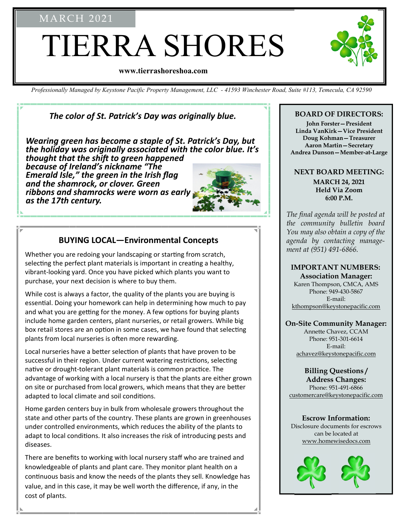## MARCH 2021

# TIERRA SHORES

#### **www.tierrashoreshoa.com**

*Professionally Managed by Keystone Pacific Property Management, LLC - 41593 Winchester Road, Suite #113, Temecula, CA 92590* 

## *The color of St. Patrick's Day was originally blue.*

*Wearing green has become a staple of St. Patrick's Day, but the holiday was originally associated with the color blue. It's thought that the shift to green happened because of Ireland's nickname "The Emerald Isle," the green in the Irish flag and the shamrock, or clover. Green ribbons and shamrocks were worn as early as the 17th century.* 



### **BUYING LOCAL—Environmental Concepts**

Whether you are redoing your landscaping or starting from scratch, selecting the perfect plant materials is important in creating a healthy, vibrant‐looking yard. Once you have picked which plants you want to purchase, your next decision is where to buy them.

While cost is always a factor, the quality of the plants you are buying is essential. Doing your homework can help in determining how much to pay and what you are getting for the money. A few options for buying plants include home garden centers, plant nurseries, or retail growers. While big box retail stores are an option in some cases, we have found that selecting plants from local nurseries is often more rewarding.

Local nurseries have a better selection of plants that have proven to be successful in their region. Under current watering restrictions, selecting native or drought-tolerant plant materials is common practice. The advantage of working with a local nursery is that the plants are either grown on site or purchased from local growers, which means that they are better adapted to local climate and soil conditions.

Home garden centers buy in bulk from wholesale growers throughout the state and other parts of the country. These plants are grown in greenhouses under controlled environments, which reduces the ability of the plants to adapt to local conditions. It also increases the risk of introducing pests and diseases.

There are benefits to working with local nursery staff who are trained and knowledgeable of plants and plant care. They monitor plant health on a continuous basis and know the needs of the plants they sell. Knowledge has value, and in this case, it may be well worth the difference, if any, in the cost of plants.

#### **BOARD OF DIRECTORS:**

**John Forster—President Linda VanKirk—Vice President Doug Kohman—Treasurer Aaron Martin—Secretary Andrea Dunson—Member-at-Large** 

#### **NEXT BOARD MEETING:**

**MARCH 24, 2021 Held Via Zoom 6:00 P.M.** 

*The final agenda will be posted at the community bulletin board You may also obtain a copy of the agenda by contacting management at (951) 491-6866.* 

#### **IMPORTANT NUMBERS: Association Manager:**

Karen Thompson, CMCA, AMS Phone: 949-430-5867 E-mail: kthompson@keystonepacific.com

#### **On-Site Community Manager:**

Annette Chavez, CCAM Phone: 951-301-6614 E-mail: achavez@keystonepacific.com

#### **Billing Questions / Address Changes:**

Phone: 951-491-6866 customercare@keystonepacific.com

#### **Escrow Information:**

Disclosure documents for escrows can be located at www.homewisedocs.com